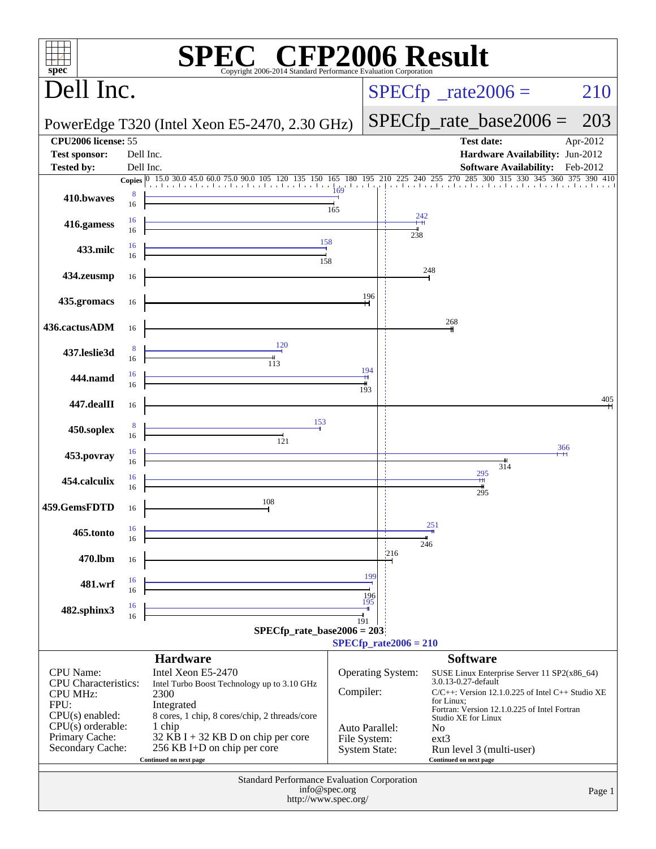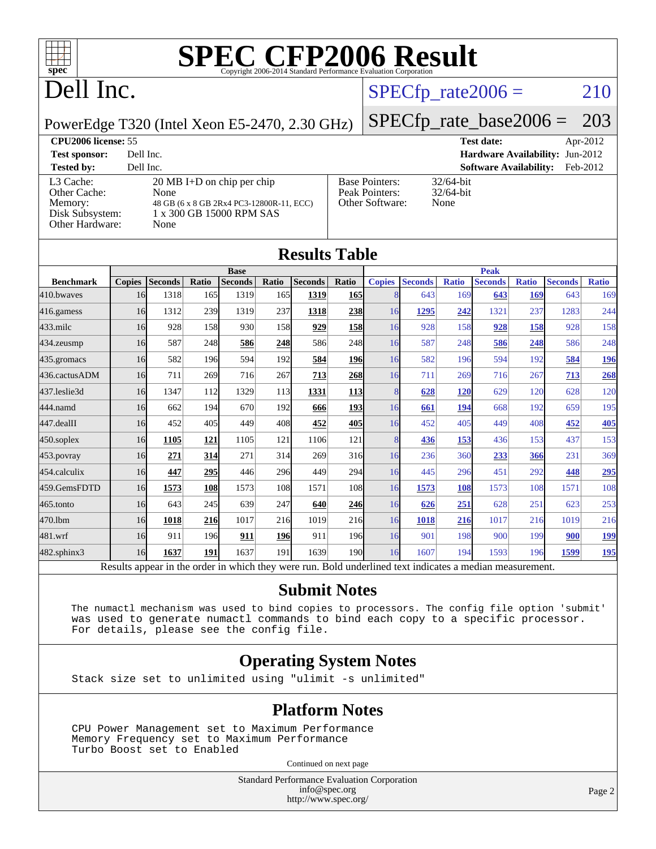

## Dell Inc.

#### $SPECTp_rate2006 = 210$

#### PowerEdge T320 (Intel Xeon E5-2470, 2.30 GHz)

# [SPECfp\\_rate\\_base2006 =](http://www.spec.org/auto/cpu2006/Docs/result-fields.html#SPECfpratebase2006) 203

**[CPU2006 license:](http://www.spec.org/auto/cpu2006/Docs/result-fields.html#CPU2006license)** 55 **[Test date:](http://www.spec.org/auto/cpu2006/Docs/result-fields.html#Testdate)** Apr-2012 **[Test sponsor:](http://www.spec.org/auto/cpu2006/Docs/result-fields.html#Testsponsor)** Dell Inc. **[Hardware Availability:](http://www.spec.org/auto/cpu2006/Docs/result-fields.html#HardwareAvailability)** Jun-2012 **[Tested by:](http://www.spec.org/auto/cpu2006/Docs/result-fields.html#Testedby)** Dell Inc. **[Software Availability:](http://www.spec.org/auto/cpu2006/Docs/result-fields.html#SoftwareAvailability)** Feb-2012

[L3 Cache:](http://www.spec.org/auto/cpu2006/Docs/result-fields.html#L3Cache) 20 MB I+D on chip per chip<br>Other Cache: None [Other Cache:](http://www.spec.org/auto/cpu2006/Docs/result-fields.html#OtherCache) [Memory:](http://www.spec.org/auto/cpu2006/Docs/result-fields.html#Memory) 48 GB (6 x 8 GB 2Rx4 PC3-12800R-11, ECO) [Disk Subsystem:](http://www.spec.org/auto/cpu2006/Docs/result-fields.html#DiskSubsystem) 1 x 300 GB 15000 RPM SAS [Other Hardware:](http://www.spec.org/auto/cpu2006/Docs/result-fields.html#OtherHardware) None

| С | <b>Base Pointers:</b><br>Peak Pointers:<br>Other Software: | $32/64$ -bit<br>$32/64$ -bit<br>None |
|---|------------------------------------------------------------|--------------------------------------|
|   |                                                            |                                      |

| <b>Results Table</b>                                                                                     |               |                |       |                |       |                |             |               |                |              |                |              |                |              |
|----------------------------------------------------------------------------------------------------------|---------------|----------------|-------|----------------|-------|----------------|-------------|---------------|----------------|--------------|----------------|--------------|----------------|--------------|
|                                                                                                          | <b>Base</b>   |                |       |                |       |                | <b>Peak</b> |               |                |              |                |              |                |              |
| <b>Benchmark</b>                                                                                         | <b>Copies</b> | <b>Seconds</b> | Ratio | <b>Seconds</b> | Ratio | <b>Seconds</b> | Ratio       | <b>Copies</b> | <b>Seconds</b> | <b>Ratio</b> | <b>Seconds</b> | <b>Ratio</b> | <b>Seconds</b> | <b>Ratio</b> |
| 410.bwayes                                                                                               | 16            | 1318           | 165   | 1319           | 165   | 1319           | 165         |               | 643            | 169          | 643            | 169          | 643            | 169          |
| 416.gamess                                                                                               | 16            | 1312           | 239   | 1319           | 237   | 1318           | 238         | 16            | 1295           | 242          | 1321           | 237          | 1283           | 244          |
| $433$ .milc                                                                                              | 16            | 928            | 158   | 930            | 158   | 929            | 158         | 16            | 928            | 158          | 928            | 158          | 928            | 158          |
| 434.zeusmp                                                                                               | 16            | 587            | 248   | 586            | 248   | 586            | 248         | 16            | 587            | 248          | 586            | 248          | 586            | 248          |
| 435.gromacs                                                                                              | 16            | 582            | 196   | 594            | 192   | 584            | 196         | 16            | 582            | 196          | 594            | 192          | 584            | 196          |
| 436.cactusADM                                                                                            | 16            | 711            | 269   | 716            | 267   | 713            | 268         | 16            | 711            | 269          | 716            | 267          | 713            | 268          |
| 437.leslie3d                                                                                             | 16            | 1347           | 112   | 1329           | 113   | 1331           | 113         |               | 628            | <b>120</b>   | 629            | 120          | 628            | 120          |
| 444.namd                                                                                                 | 16            | 662            | 194   | 670            | 192   | 666            | 193         | 16            | 661            | 194          | 668            | 192          | 659            | 195          |
| 447.dealII                                                                                               | 16            | 452            | 405   | 449            | 408   | 452            | 405         | 16            | 452            | 405          | 449            | 408          | 452            | 405          |
| 450.soplex                                                                                               | 16            | 1105           | 121   | 1105           | 121   | 1106           | 121         | 8             | 436            | 153          | 436            | 153          | 437            | 153          |
| 453.povray                                                                                               | 16            | 271            | 314   | 271            | 314   | 269            | 316         | 16            | 236            | 360          | 233            | 366          | 231            | 369          |
| 454.calculix                                                                                             | 16            | 447            | 295   | 446            | 296   | 449            | 294         | 16            | 445            | 296          | 451            | 292          | 448            | 295          |
| 459.GemsFDTD                                                                                             | 16            | 1573           | 108   | 1573           | 108   | 1571           | 108         | 16            | 1573           | 108          | 1573           | 108          | 1571           | 108          |
| 465.tonto                                                                                                | 16            | 643            | 245   | 639            | 247   | 640            | 246         | 16            | 626            | 251          | 628            | 251          | 623            | 253          |
| 470.1bm                                                                                                  | 16            | 1018           | 216   | 1017           | 216   | 1019           | 216         | 16            | 1018           | 216          | 1017           | 216          | 1019           | 216          |
| 481.wrf                                                                                                  | 16            | 911            | 196   | 911            | 196   | 911            | 196         | 16            | 901            | 198          | 900            | 199          | 900            | <u>199</u>   |
| 482.sphinx3                                                                                              | 16            | 1637           | 191   | 1637           | 191   | 1639           | 190         | 16            | 1607           | 194          | 1593           | 196          | 1599           | <b>195</b>   |
| Results appear in the order in which they were run. Bold underlined text indicates a median measurement. |               |                |       |                |       |                |             |               |                |              |                |              |                |              |

#### **[Submit Notes](http://www.spec.org/auto/cpu2006/Docs/result-fields.html#SubmitNotes)**

 The numactl mechanism was used to bind copies to processors. The config file option 'submit' was used to generate numactl commands to bind each copy to a specific processor. For details, please see the config file.

#### **[Operating System Notes](http://www.spec.org/auto/cpu2006/Docs/result-fields.html#OperatingSystemNotes)**

Stack size set to unlimited using "ulimit -s unlimited"

#### **[Platform Notes](http://www.spec.org/auto/cpu2006/Docs/result-fields.html#PlatformNotes)**

 CPU Power Management set to Maximum Performance Memory Frequency set to Maximum Performance Turbo Boost set to Enabled

Continued on next page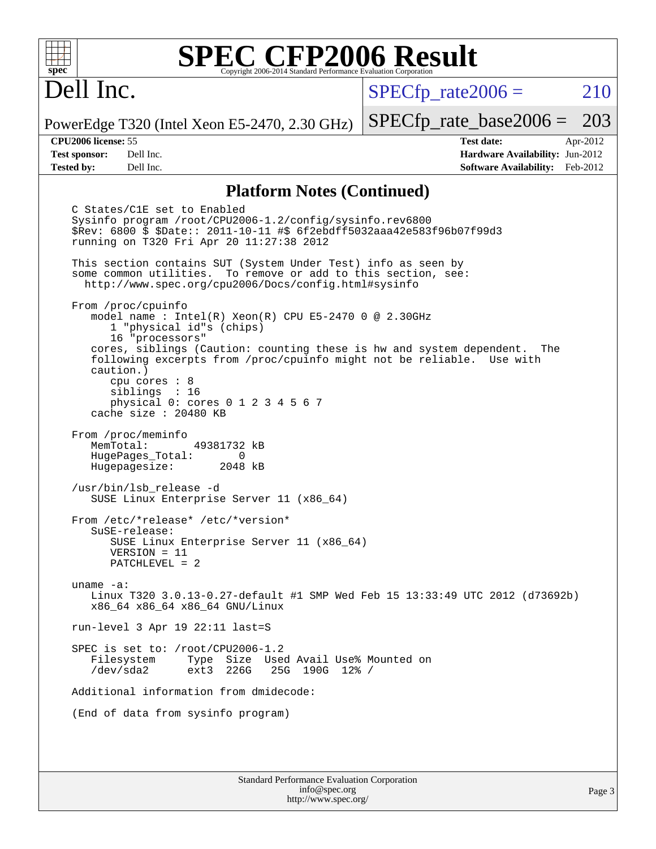## Dell Inc.

 $SPECTp\_rate2006 = 210$ 

PowerEdge T320 (Intel Xeon E5-2470, 2.30 GHz)

**[Test sponsor:](http://www.spec.org/auto/cpu2006/Docs/result-fields.html#Testsponsor)** Dell Inc. **[Hardware Availability:](http://www.spec.org/auto/cpu2006/Docs/result-fields.html#HardwareAvailability)** Jun-2012 **[Tested by:](http://www.spec.org/auto/cpu2006/Docs/result-fields.html#Testedby)** Dell Inc. **[Software Availability:](http://www.spec.org/auto/cpu2006/Docs/result-fields.html#SoftwareAvailability)** Feb-2012

[SPECfp\\_rate\\_base2006 =](http://www.spec.org/auto/cpu2006/Docs/result-fields.html#SPECfpratebase2006) 203 **[CPU2006 license:](http://www.spec.org/auto/cpu2006/Docs/result-fields.html#CPU2006license)** 55 **[Test date:](http://www.spec.org/auto/cpu2006/Docs/result-fields.html#Testdate)** Apr-2012

**[Platform Notes \(Continued\)](http://www.spec.org/auto/cpu2006/Docs/result-fields.html#PlatformNotes)**

 C States/C1E set to Enabled Sysinfo program /root/CPU2006-1.2/config/sysinfo.rev6800 \$Rev: 6800 \$ \$Date:: 2011-10-11 #\$ 6f2ebdff5032aaa42e583f96b07f99d3 running on T320 Fri Apr 20 11:27:38 2012 This section contains SUT (System Under Test) info as seen by some common utilities. To remove or add to this section, see: <http://www.spec.org/cpu2006/Docs/config.html#sysinfo> From /proc/cpuinfo model name : Intel(R) Xeon(R) CPU E5-2470 0 @ 2.30GHz 1 "physical id"s (chips) 16 "processors" cores, siblings (Caution: counting these is hw and system dependent. The following excerpts from /proc/cpuinfo might not be reliable. Use with caution.) cpu cores : 8 siblings : 16 physical 0: cores 0 1 2 3 4 5 6 7 cache size : 20480 KB From /proc/meminfo MemTotal: 49381732 kB HugePages\_Total: 0<br>Hugepagesize: 2048 kB Hugepagesize: /usr/bin/lsb\_release -d SUSE Linux Enterprise Server 11 (x86\_64) From /etc/\*release\* /etc/\*version\* SuSE-release: SUSE Linux Enterprise Server 11 (x86\_64) VERSION = 11 PATCHLEVEL = 2 uname -a: Linux T320 3.0.13-0.27-default #1 SMP Wed Feb 15 13:33:49 UTC 2012 (d73692b) x86\_64 x86\_64 x86\_64 GNU/Linux run-level 3 Apr 19 22:11 last=S SPEC is set to: /root/CPU2006-1.2 Filesystem Type Size Used Avail Use% Mounted on<br>
/dev/sda2 ext3 226G 25G 190G 12% / 25G 190G 12% / Additional information from dmidecode: (End of data from sysinfo program)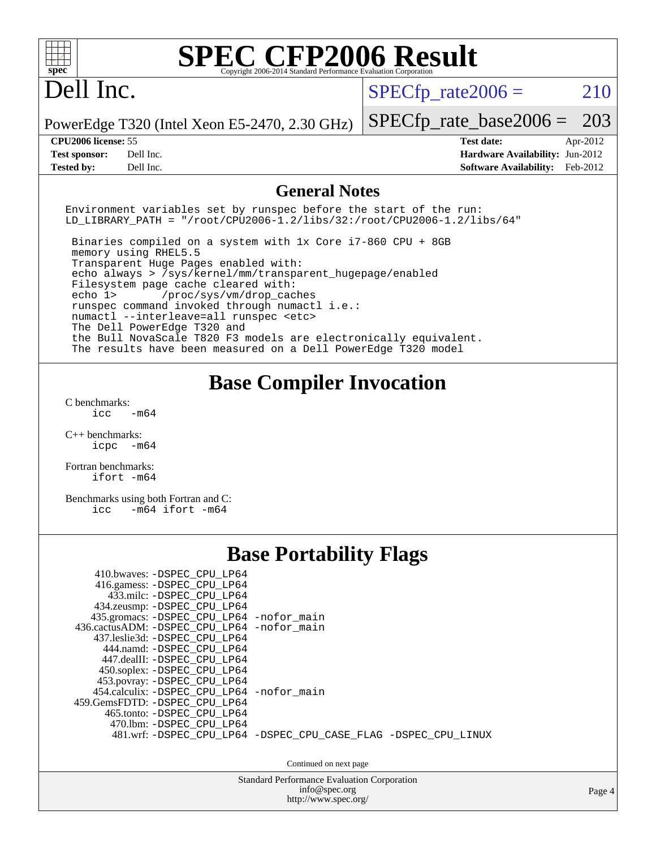| spec <sup>®</sup>                                                                                                                                                                                                                                                                                                                                                                                                                                                                                                                                                            | Copyright 2006-2014 Standard Performance Evaluation Corporatio      | <b>SPEC CFP2006 Result</b>                                                                                    |  |  |  |  |  |  |  |
|------------------------------------------------------------------------------------------------------------------------------------------------------------------------------------------------------------------------------------------------------------------------------------------------------------------------------------------------------------------------------------------------------------------------------------------------------------------------------------------------------------------------------------------------------------------------------|---------------------------------------------------------------------|---------------------------------------------------------------------------------------------------------------|--|--|--|--|--|--|--|
| Dell Inc.                                                                                                                                                                                                                                                                                                                                                                                                                                                                                                                                                                    |                                                                     | $SPECfp\_rate2006 =$<br>210                                                                                   |  |  |  |  |  |  |  |
| PowerEdge T320 (Intel Xeon E5-2470, 2.30 GHz)                                                                                                                                                                                                                                                                                                                                                                                                                                                                                                                                |                                                                     | 203<br>$SPECfp_rate\_base2006 =$                                                                              |  |  |  |  |  |  |  |
| CPU2006 license: 55<br>Dell Inc.<br><b>Test sponsor:</b><br>Dell Inc.<br><b>Tested by:</b>                                                                                                                                                                                                                                                                                                                                                                                                                                                                                   |                                                                     | <b>Test date:</b><br>Apr-2012<br>Hardware Availability: Jun-2012<br><b>Software Availability:</b><br>Feb-2012 |  |  |  |  |  |  |  |
| <b>General Notes</b>                                                                                                                                                                                                                                                                                                                                                                                                                                                                                                                                                         |                                                                     |                                                                                                               |  |  |  |  |  |  |  |
| Environment variables set by runspec before the start of the run:<br>$LD_LIBRARY_PATH = "/root/CPU2006-1.2/libs/32://root/CPU2006-1.2/libs/64"$                                                                                                                                                                                                                                                                                                                                                                                                                              |                                                                     |                                                                                                               |  |  |  |  |  |  |  |
| Binaries compiled on a system with 1x Core i7-860 CPU + 8GB<br>memory using RHEL5.5<br>Transparent Huge Pages enabled with:<br>echo always > /sys/kernel/mm/transparent_hugepage/enabled<br>Filesystem page cache cleared with:<br>echo 1><br>/proc/sys/vm/drop_caches<br>runspec command invoked through numactl i.e.:<br>numactl --interleave=all runspec <etc><br/>The Dell PowerEdge T320 and<br/>the Bull NovaScale T820 F3 models are electronically equivalent.<br/>The results have been measured on a Dell PowerEdge T320 model</etc>                               |                                                                     |                                                                                                               |  |  |  |  |  |  |  |
|                                                                                                                                                                                                                                                                                                                                                                                                                                                                                                                                                                              | <b>Base Compiler Invocation</b>                                     |                                                                                                               |  |  |  |  |  |  |  |
| C benchmarks:<br>icc<br>$-m64$                                                                                                                                                                                                                                                                                                                                                                                                                                                                                                                                               |                                                                     |                                                                                                               |  |  |  |  |  |  |  |
| $C_{++}$ benchmarks:<br>icpc -m64                                                                                                                                                                                                                                                                                                                                                                                                                                                                                                                                            |                                                                     |                                                                                                               |  |  |  |  |  |  |  |
| Fortran benchmarks:<br>ifort -m64                                                                                                                                                                                                                                                                                                                                                                                                                                                                                                                                            |                                                                     |                                                                                                               |  |  |  |  |  |  |  |
| Benchmarks using both Fortran and C:<br>$-m64$ ifort $-m64$<br>icc                                                                                                                                                                                                                                                                                                                                                                                                                                                                                                           |                                                                     |                                                                                                               |  |  |  |  |  |  |  |
|                                                                                                                                                                                                                                                                                                                                                                                                                                                                                                                                                                              | <b>Base Portability Flags</b>                                       |                                                                                                               |  |  |  |  |  |  |  |
| 410.bwaves: -DSPEC_CPU_LP64<br>416.gamess: -DSPEC_CPU_LP64<br>433.milc: -DSPEC_CPU_LP64<br>434.zeusmp: - DSPEC_CPU_LP64<br>435.gromacs: -DSPEC_CPU_LP64 -nofor_main<br>436.cactusADM: -DSPEC_CPU_LP64 -nofor_main<br>437.leslie3d: - DSPEC CPU LP64<br>444.namd: -DSPEC_CPU_LP64<br>447.dealII: -DSPEC_CPU_LP64<br>450.soplex: -DSPEC_CPU_LP64<br>453.povray: -DSPEC_CPU_LP64<br>454.calculix: -DSPEC_CPU_LP64<br>459.GemsFDTD: - DSPEC_CPU_LP64<br>465.tonto: -DSPEC_CPU_LP64<br>470.1bm: -DSPEC_CPU_LP64<br>481.wrf: -DSPEC_CPU_LP64 -DSPEC_CPU_CASE_FLAG -DSPEC_CPU_LINUX | -nofor main<br>Continued on next page                               |                                                                                                               |  |  |  |  |  |  |  |
|                                                                                                                                                                                                                                                                                                                                                                                                                                                                                                                                                                              | <b>Standard Performance Evaluation Corporation</b><br>info@spec.org | Page 4                                                                                                        |  |  |  |  |  |  |  |
|                                                                                                                                                                                                                                                                                                                                                                                                                                                                                                                                                                              | http://www.spec.org/                                                |                                                                                                               |  |  |  |  |  |  |  |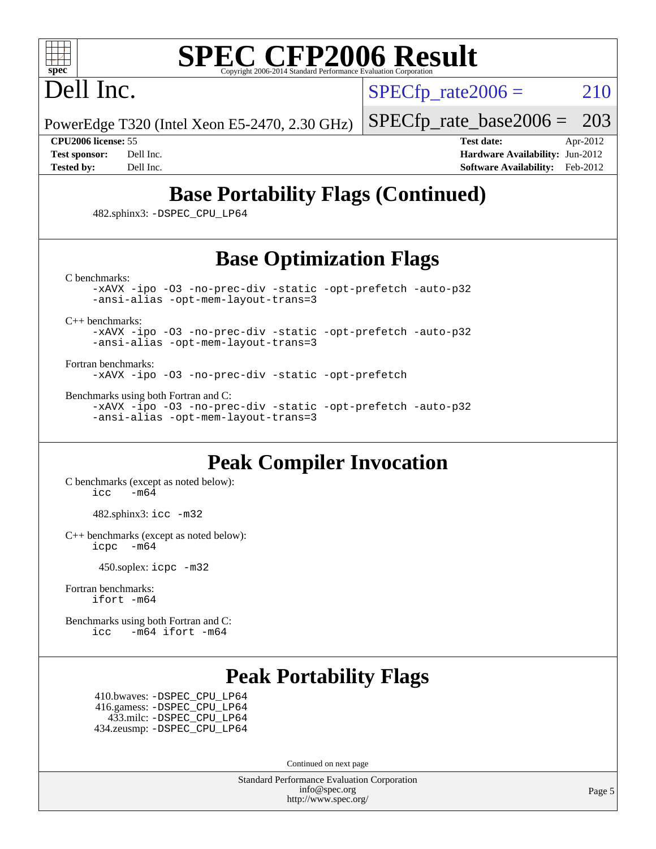

## Dell Inc.

 $SPECTp\_rate2006 = 210$ 

PowerEdge T320 (Intel Xeon E5-2470, 2.30 GHz) [SPECfp\\_rate\\_base2006 =](http://www.spec.org/auto/cpu2006/Docs/result-fields.html#SPECfpratebase2006) 203

**[CPU2006 license:](http://www.spec.org/auto/cpu2006/Docs/result-fields.html#CPU2006license)** 55 **[Test date:](http://www.spec.org/auto/cpu2006/Docs/result-fields.html#Testdate)** Apr-2012 **[Test sponsor:](http://www.spec.org/auto/cpu2006/Docs/result-fields.html#Testsponsor)** Dell Inc. **[Hardware Availability:](http://www.spec.org/auto/cpu2006/Docs/result-fields.html#HardwareAvailability)** Jun-2012 **[Tested by:](http://www.spec.org/auto/cpu2006/Docs/result-fields.html#Testedby)** Dell Inc. **[Software Availability:](http://www.spec.org/auto/cpu2006/Docs/result-fields.html#SoftwareAvailability)** Feb-2012

### **[Base Portability Flags \(Continued\)](http://www.spec.org/auto/cpu2006/Docs/result-fields.html#BasePortabilityFlags)**

482.sphinx3: [-DSPEC\\_CPU\\_LP64](http://www.spec.org/cpu2006/results/res2012q3/cpu2006-20120703-23463.flags.html#suite_basePORTABILITY482_sphinx3_DSPEC_CPU_LP64)

### **[Base Optimization Flags](http://www.spec.org/auto/cpu2006/Docs/result-fields.html#BaseOptimizationFlags)**

[C benchmarks](http://www.spec.org/auto/cpu2006/Docs/result-fields.html#Cbenchmarks):

[-xAVX](http://www.spec.org/cpu2006/results/res2012q3/cpu2006-20120703-23463.flags.html#user_CCbase_f-xAVX) [-ipo](http://www.spec.org/cpu2006/results/res2012q3/cpu2006-20120703-23463.flags.html#user_CCbase_f-ipo) [-O3](http://www.spec.org/cpu2006/results/res2012q3/cpu2006-20120703-23463.flags.html#user_CCbase_f-O3) [-no-prec-div](http://www.spec.org/cpu2006/results/res2012q3/cpu2006-20120703-23463.flags.html#user_CCbase_f-no-prec-div) [-static](http://www.spec.org/cpu2006/results/res2012q3/cpu2006-20120703-23463.flags.html#user_CCbase_f-static) [-opt-prefetch](http://www.spec.org/cpu2006/results/res2012q3/cpu2006-20120703-23463.flags.html#user_CCbase_f-opt-prefetch) [-auto-p32](http://www.spec.org/cpu2006/results/res2012q3/cpu2006-20120703-23463.flags.html#user_CCbase_f-auto-p32) [-ansi-alias](http://www.spec.org/cpu2006/results/res2012q3/cpu2006-20120703-23463.flags.html#user_CCbase_f-ansi-alias) [-opt-mem-layout-trans=3](http://www.spec.org/cpu2006/results/res2012q3/cpu2006-20120703-23463.flags.html#user_CCbase_f-opt-mem-layout-trans_a7b82ad4bd7abf52556d4961a2ae94d5)

[C++ benchmarks:](http://www.spec.org/auto/cpu2006/Docs/result-fields.html#CXXbenchmarks)

[-xAVX](http://www.spec.org/cpu2006/results/res2012q3/cpu2006-20120703-23463.flags.html#user_CXXbase_f-xAVX) [-ipo](http://www.spec.org/cpu2006/results/res2012q3/cpu2006-20120703-23463.flags.html#user_CXXbase_f-ipo) [-O3](http://www.spec.org/cpu2006/results/res2012q3/cpu2006-20120703-23463.flags.html#user_CXXbase_f-O3) [-no-prec-div](http://www.spec.org/cpu2006/results/res2012q3/cpu2006-20120703-23463.flags.html#user_CXXbase_f-no-prec-div) [-static](http://www.spec.org/cpu2006/results/res2012q3/cpu2006-20120703-23463.flags.html#user_CXXbase_f-static) [-opt-prefetch](http://www.spec.org/cpu2006/results/res2012q3/cpu2006-20120703-23463.flags.html#user_CXXbase_f-opt-prefetch) [-auto-p32](http://www.spec.org/cpu2006/results/res2012q3/cpu2006-20120703-23463.flags.html#user_CXXbase_f-auto-p32) [-ansi-alias](http://www.spec.org/cpu2006/results/res2012q3/cpu2006-20120703-23463.flags.html#user_CXXbase_f-ansi-alias) [-opt-mem-layout-trans=3](http://www.spec.org/cpu2006/results/res2012q3/cpu2006-20120703-23463.flags.html#user_CXXbase_f-opt-mem-layout-trans_a7b82ad4bd7abf52556d4961a2ae94d5)

[Fortran benchmarks](http://www.spec.org/auto/cpu2006/Docs/result-fields.html#Fortranbenchmarks):

[-xAVX](http://www.spec.org/cpu2006/results/res2012q3/cpu2006-20120703-23463.flags.html#user_FCbase_f-xAVX) [-ipo](http://www.spec.org/cpu2006/results/res2012q3/cpu2006-20120703-23463.flags.html#user_FCbase_f-ipo) [-O3](http://www.spec.org/cpu2006/results/res2012q3/cpu2006-20120703-23463.flags.html#user_FCbase_f-O3) [-no-prec-div](http://www.spec.org/cpu2006/results/res2012q3/cpu2006-20120703-23463.flags.html#user_FCbase_f-no-prec-div) [-static](http://www.spec.org/cpu2006/results/res2012q3/cpu2006-20120703-23463.flags.html#user_FCbase_f-static) [-opt-prefetch](http://www.spec.org/cpu2006/results/res2012q3/cpu2006-20120703-23463.flags.html#user_FCbase_f-opt-prefetch)

[Benchmarks using both Fortran and C](http://www.spec.org/auto/cpu2006/Docs/result-fields.html#BenchmarksusingbothFortranandC):

[-xAVX](http://www.spec.org/cpu2006/results/res2012q3/cpu2006-20120703-23463.flags.html#user_CC_FCbase_f-xAVX) [-ipo](http://www.spec.org/cpu2006/results/res2012q3/cpu2006-20120703-23463.flags.html#user_CC_FCbase_f-ipo) [-O3](http://www.spec.org/cpu2006/results/res2012q3/cpu2006-20120703-23463.flags.html#user_CC_FCbase_f-O3) [-no-prec-div](http://www.spec.org/cpu2006/results/res2012q3/cpu2006-20120703-23463.flags.html#user_CC_FCbase_f-no-prec-div) [-static](http://www.spec.org/cpu2006/results/res2012q3/cpu2006-20120703-23463.flags.html#user_CC_FCbase_f-static) [-opt-prefetch](http://www.spec.org/cpu2006/results/res2012q3/cpu2006-20120703-23463.flags.html#user_CC_FCbase_f-opt-prefetch) [-auto-p32](http://www.spec.org/cpu2006/results/res2012q3/cpu2006-20120703-23463.flags.html#user_CC_FCbase_f-auto-p32) [-ansi-alias](http://www.spec.org/cpu2006/results/res2012q3/cpu2006-20120703-23463.flags.html#user_CC_FCbase_f-ansi-alias) [-opt-mem-layout-trans=3](http://www.spec.org/cpu2006/results/res2012q3/cpu2006-20120703-23463.flags.html#user_CC_FCbase_f-opt-mem-layout-trans_a7b82ad4bd7abf52556d4961a2ae94d5)

#### **[Peak Compiler Invocation](http://www.spec.org/auto/cpu2006/Docs/result-fields.html#PeakCompilerInvocation)**

[C benchmarks \(except as noted below\)](http://www.spec.org/auto/cpu2006/Docs/result-fields.html#Cbenchmarksexceptasnotedbelow):  $\text{icc}$   $-\text{m64}$ 

482.sphinx3: [icc -m32](http://www.spec.org/cpu2006/results/res2012q3/cpu2006-20120703-23463.flags.html#user_peakCCLD482_sphinx3_intel_icc_a6a621f8d50482236b970c6ac5f55f93)

[C++ benchmarks \(except as noted below\):](http://www.spec.org/auto/cpu2006/Docs/result-fields.html#CXXbenchmarksexceptasnotedbelow) [icpc -m64](http://www.spec.org/cpu2006/results/res2012q3/cpu2006-20120703-23463.flags.html#user_CXXpeak_intel_icpc_64bit_bedb90c1146cab66620883ef4f41a67e)

450.soplex: [icpc -m32](http://www.spec.org/cpu2006/results/res2012q3/cpu2006-20120703-23463.flags.html#user_peakCXXLD450_soplex_intel_icpc_4e5a5ef1a53fd332b3c49e69c3330699)

[Fortran benchmarks](http://www.spec.org/auto/cpu2006/Docs/result-fields.html#Fortranbenchmarks): [ifort -m64](http://www.spec.org/cpu2006/results/res2012q3/cpu2006-20120703-23463.flags.html#user_FCpeak_intel_ifort_64bit_ee9d0fb25645d0210d97eb0527dcc06e)

[Benchmarks using both Fortran and C](http://www.spec.org/auto/cpu2006/Docs/result-fields.html#BenchmarksusingbothFortranandC): [icc -m64](http://www.spec.org/cpu2006/results/res2012q3/cpu2006-20120703-23463.flags.html#user_CC_FCpeak_intel_icc_64bit_0b7121f5ab7cfabee23d88897260401c) [ifort -m64](http://www.spec.org/cpu2006/results/res2012q3/cpu2006-20120703-23463.flags.html#user_CC_FCpeak_intel_ifort_64bit_ee9d0fb25645d0210d97eb0527dcc06e)

### **[Peak Portability Flags](http://www.spec.org/auto/cpu2006/Docs/result-fields.html#PeakPortabilityFlags)**

 410.bwaves: [-DSPEC\\_CPU\\_LP64](http://www.spec.org/cpu2006/results/res2012q3/cpu2006-20120703-23463.flags.html#suite_peakPORTABILITY410_bwaves_DSPEC_CPU_LP64) 416.gamess: [-DSPEC\\_CPU\\_LP64](http://www.spec.org/cpu2006/results/res2012q3/cpu2006-20120703-23463.flags.html#suite_peakPORTABILITY416_gamess_DSPEC_CPU_LP64) 433.milc: [-DSPEC\\_CPU\\_LP64](http://www.spec.org/cpu2006/results/res2012q3/cpu2006-20120703-23463.flags.html#suite_peakPORTABILITY433_milc_DSPEC_CPU_LP64) 434.zeusmp: [-DSPEC\\_CPU\\_LP64](http://www.spec.org/cpu2006/results/res2012q3/cpu2006-20120703-23463.flags.html#suite_peakPORTABILITY434_zeusmp_DSPEC_CPU_LP64)

Continued on next page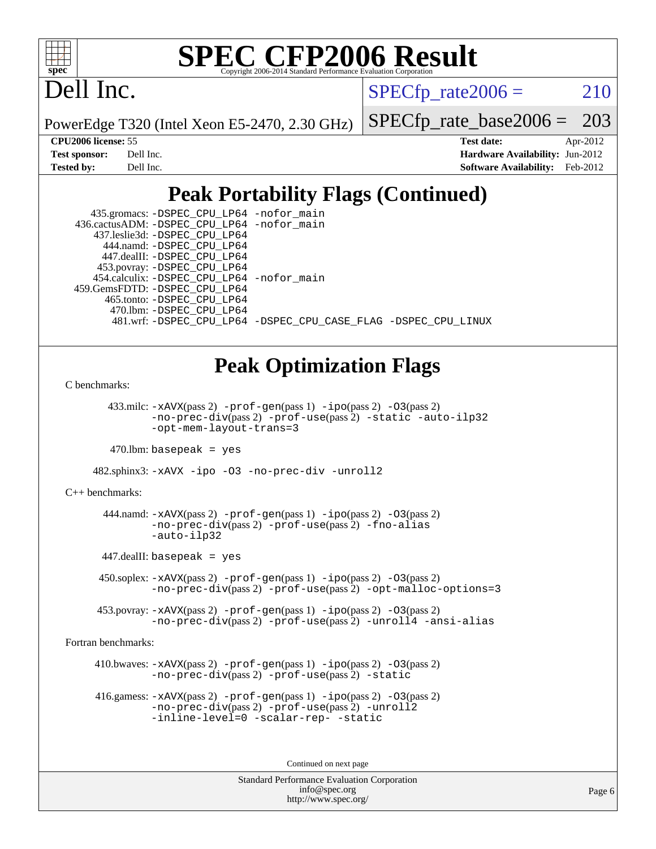

## Dell Inc.

 $SPECTp\_rate2006 = 210$ 

PowerEdge T320 (Intel Xeon E5-2470, 2.30 GHz)

[SPECfp\\_rate\\_base2006 =](http://www.spec.org/auto/cpu2006/Docs/result-fields.html#SPECfpratebase2006) 203

**[CPU2006 license:](http://www.spec.org/auto/cpu2006/Docs/result-fields.html#CPU2006license)** 55 **[Test date:](http://www.spec.org/auto/cpu2006/Docs/result-fields.html#Testdate)** Apr-2012 **[Test sponsor:](http://www.spec.org/auto/cpu2006/Docs/result-fields.html#Testsponsor)** Dell Inc. **[Hardware Availability:](http://www.spec.org/auto/cpu2006/Docs/result-fields.html#HardwareAvailability)** Jun-2012 **[Tested by:](http://www.spec.org/auto/cpu2006/Docs/result-fields.html#Testedby)** Dell Inc. **[Software Availability:](http://www.spec.org/auto/cpu2006/Docs/result-fields.html#SoftwareAvailability)** Feb-2012

### **[Peak Portability Flags \(Continued\)](http://www.spec.org/auto/cpu2006/Docs/result-fields.html#PeakPortabilityFlags)**

| 435.gromacs: -DSPEC_CPU_LP64 -nofor_main    |                                                                |
|---------------------------------------------|----------------------------------------------------------------|
| 436.cactusADM: -DSPEC CPU LP64 -nofor main  |                                                                |
| 437.leslie3d: -DSPEC CPU LP64               |                                                                |
| 444.namd: - DSPEC CPU LP64                  |                                                                |
| 447.dealII: -DSPEC CPU LP64                 |                                                                |
| 453.povray: -DSPEC_CPU_LP64                 |                                                                |
| 454.calculix: - DSPEC CPU LP64 - nofor main |                                                                |
| 459.GemsFDTD: - DSPEC_CPU_LP64              |                                                                |
| 465.tonto: -DSPEC CPU LP64                  |                                                                |
| 470.1bm: - DSPEC CPU LP64                   |                                                                |
|                                             | 481.wrf: -DSPEC CPU_LP64 -DSPEC_CPU_CASE_FLAG -DSPEC_CPU_LINUX |

### **[Peak Optimization Flags](http://www.spec.org/auto/cpu2006/Docs/result-fields.html#PeakOptimizationFlags)**

[C benchmarks](http://www.spec.org/auto/cpu2006/Docs/result-fields.html#Cbenchmarks):

 433.milc: [-xAVX](http://www.spec.org/cpu2006/results/res2012q3/cpu2006-20120703-23463.flags.html#user_peakPASS2_CFLAGSPASS2_LDFLAGS433_milc_f-xAVX)(pass 2) [-prof-gen](http://www.spec.org/cpu2006/results/res2012q3/cpu2006-20120703-23463.flags.html#user_peakPASS1_CFLAGSPASS1_LDFLAGS433_milc_prof_gen_e43856698f6ca7b7e442dfd80e94a8fc)(pass 1) [-ipo](http://www.spec.org/cpu2006/results/res2012q3/cpu2006-20120703-23463.flags.html#user_peakPASS2_CFLAGSPASS2_LDFLAGS433_milc_f-ipo)(pass 2) [-O3](http://www.spec.org/cpu2006/results/res2012q3/cpu2006-20120703-23463.flags.html#user_peakPASS2_CFLAGSPASS2_LDFLAGS433_milc_f-O3)(pass 2) [-no-prec-div](http://www.spec.org/cpu2006/results/res2012q3/cpu2006-20120703-23463.flags.html#user_peakPASS2_CFLAGSPASS2_LDFLAGS433_milc_f-no-prec-div)(pass 2) [-prof-use](http://www.spec.org/cpu2006/results/res2012q3/cpu2006-20120703-23463.flags.html#user_peakPASS2_CFLAGSPASS2_LDFLAGS433_milc_prof_use_bccf7792157ff70d64e32fe3e1250b55)(pass 2) [-static](http://www.spec.org/cpu2006/results/res2012q3/cpu2006-20120703-23463.flags.html#user_peakOPTIMIZE433_milc_f-static) [-auto-ilp32](http://www.spec.org/cpu2006/results/res2012q3/cpu2006-20120703-23463.flags.html#user_peakCOPTIMIZE433_milc_f-auto-ilp32) [-opt-mem-layout-trans=3](http://www.spec.org/cpu2006/results/res2012q3/cpu2006-20120703-23463.flags.html#user_peakCOPTIMIZE433_milc_f-opt-mem-layout-trans_a7b82ad4bd7abf52556d4961a2ae94d5)

 $470$ .lbm: basepeak = yes

482.sphinx3: [-xAVX](http://www.spec.org/cpu2006/results/res2012q3/cpu2006-20120703-23463.flags.html#user_peakOPTIMIZE482_sphinx3_f-xAVX) [-ipo](http://www.spec.org/cpu2006/results/res2012q3/cpu2006-20120703-23463.flags.html#user_peakOPTIMIZE482_sphinx3_f-ipo) [-O3](http://www.spec.org/cpu2006/results/res2012q3/cpu2006-20120703-23463.flags.html#user_peakOPTIMIZE482_sphinx3_f-O3) [-no-prec-div](http://www.spec.org/cpu2006/results/res2012q3/cpu2006-20120703-23463.flags.html#user_peakOPTIMIZE482_sphinx3_f-no-prec-div) [-unroll2](http://www.spec.org/cpu2006/results/res2012q3/cpu2006-20120703-23463.flags.html#user_peakCOPTIMIZE482_sphinx3_f-unroll_784dae83bebfb236979b41d2422d7ec2)

[C++ benchmarks:](http://www.spec.org/auto/cpu2006/Docs/result-fields.html#CXXbenchmarks)

444.namd:  $-x$ AVX(pass 2)  $-p$ rof-gen(pass 1)  $-p$ ipo(pass 2)  $-03$ (pass 2) [-no-prec-div](http://www.spec.org/cpu2006/results/res2012q3/cpu2006-20120703-23463.flags.html#user_peakPASS2_CXXFLAGSPASS2_LDFLAGS444_namd_f-no-prec-div)(pass 2) [-prof-use](http://www.spec.org/cpu2006/results/res2012q3/cpu2006-20120703-23463.flags.html#user_peakPASS2_CXXFLAGSPASS2_LDFLAGS444_namd_prof_use_bccf7792157ff70d64e32fe3e1250b55)(pass 2) [-fno-alias](http://www.spec.org/cpu2006/results/res2012q3/cpu2006-20120703-23463.flags.html#user_peakCXXOPTIMIZE444_namd_f-no-alias_694e77f6c5a51e658e82ccff53a9e63a) [-auto-ilp32](http://www.spec.org/cpu2006/results/res2012q3/cpu2006-20120703-23463.flags.html#user_peakCXXOPTIMIZE444_namd_f-auto-ilp32)

447.dealII: basepeak = yes

 450.soplex: [-xAVX](http://www.spec.org/cpu2006/results/res2012q3/cpu2006-20120703-23463.flags.html#user_peakPASS2_CXXFLAGSPASS2_LDFLAGS450_soplex_f-xAVX)(pass 2) [-prof-gen](http://www.spec.org/cpu2006/results/res2012q3/cpu2006-20120703-23463.flags.html#user_peakPASS1_CXXFLAGSPASS1_LDFLAGS450_soplex_prof_gen_e43856698f6ca7b7e442dfd80e94a8fc)(pass 1) [-ipo](http://www.spec.org/cpu2006/results/res2012q3/cpu2006-20120703-23463.flags.html#user_peakPASS2_CXXFLAGSPASS2_LDFLAGS450_soplex_f-ipo)(pass 2) [-O3](http://www.spec.org/cpu2006/results/res2012q3/cpu2006-20120703-23463.flags.html#user_peakPASS2_CXXFLAGSPASS2_LDFLAGS450_soplex_f-O3)(pass 2) [-no-prec-div](http://www.spec.org/cpu2006/results/res2012q3/cpu2006-20120703-23463.flags.html#user_peakPASS2_CXXFLAGSPASS2_LDFLAGS450_soplex_f-no-prec-div)(pass 2) [-prof-use](http://www.spec.org/cpu2006/results/res2012q3/cpu2006-20120703-23463.flags.html#user_peakPASS2_CXXFLAGSPASS2_LDFLAGS450_soplex_prof_use_bccf7792157ff70d64e32fe3e1250b55)(pass 2) [-opt-malloc-options=3](http://www.spec.org/cpu2006/results/res2012q3/cpu2006-20120703-23463.flags.html#user_peakOPTIMIZE450_soplex_f-opt-malloc-options_13ab9b803cf986b4ee62f0a5998c2238)

 453.povray: [-xAVX](http://www.spec.org/cpu2006/results/res2012q3/cpu2006-20120703-23463.flags.html#user_peakPASS2_CXXFLAGSPASS2_LDFLAGS453_povray_f-xAVX)(pass 2) [-prof-gen](http://www.spec.org/cpu2006/results/res2012q3/cpu2006-20120703-23463.flags.html#user_peakPASS1_CXXFLAGSPASS1_LDFLAGS453_povray_prof_gen_e43856698f6ca7b7e442dfd80e94a8fc)(pass 1) [-ipo](http://www.spec.org/cpu2006/results/res2012q3/cpu2006-20120703-23463.flags.html#user_peakPASS2_CXXFLAGSPASS2_LDFLAGS453_povray_f-ipo)(pass 2) [-O3](http://www.spec.org/cpu2006/results/res2012q3/cpu2006-20120703-23463.flags.html#user_peakPASS2_CXXFLAGSPASS2_LDFLAGS453_povray_f-O3)(pass 2) [-no-prec-div](http://www.spec.org/cpu2006/results/res2012q3/cpu2006-20120703-23463.flags.html#user_peakPASS2_CXXFLAGSPASS2_LDFLAGS453_povray_f-no-prec-div)(pass 2) [-prof-use](http://www.spec.org/cpu2006/results/res2012q3/cpu2006-20120703-23463.flags.html#user_peakPASS2_CXXFLAGSPASS2_LDFLAGS453_povray_prof_use_bccf7792157ff70d64e32fe3e1250b55)(pass 2) [-unroll4](http://www.spec.org/cpu2006/results/res2012q3/cpu2006-20120703-23463.flags.html#user_peakCXXOPTIMIZE453_povray_f-unroll_4e5e4ed65b7fd20bdcd365bec371b81f) [-ansi-alias](http://www.spec.org/cpu2006/results/res2012q3/cpu2006-20120703-23463.flags.html#user_peakCXXOPTIMIZE453_povray_f-ansi-alias)

[Fortran benchmarks](http://www.spec.org/auto/cpu2006/Docs/result-fields.html#Fortranbenchmarks):

410.bwaves:  $-x$ AVX(pass 2)  $-p$ rof-gen(pass 1)  $-p$ o(pass 2)  $-03$ (pass 2) [-no-prec-div](http://www.spec.org/cpu2006/results/res2012q3/cpu2006-20120703-23463.flags.html#user_peakPASS2_FFLAGSPASS2_LDFLAGS410_bwaves_f-no-prec-div)(pass 2) [-prof-use](http://www.spec.org/cpu2006/results/res2012q3/cpu2006-20120703-23463.flags.html#user_peakPASS2_FFLAGSPASS2_LDFLAGS410_bwaves_prof_use_bccf7792157ff70d64e32fe3e1250b55)(pass 2) [-static](http://www.spec.org/cpu2006/results/res2012q3/cpu2006-20120703-23463.flags.html#user_peakOPTIMIZE410_bwaves_f-static)

 416.gamess: [-xAVX](http://www.spec.org/cpu2006/results/res2012q3/cpu2006-20120703-23463.flags.html#user_peakPASS2_FFLAGSPASS2_LDFLAGS416_gamess_f-xAVX)(pass 2) [-prof-gen](http://www.spec.org/cpu2006/results/res2012q3/cpu2006-20120703-23463.flags.html#user_peakPASS1_FFLAGSPASS1_LDFLAGS416_gamess_prof_gen_e43856698f6ca7b7e442dfd80e94a8fc)(pass 1) [-ipo](http://www.spec.org/cpu2006/results/res2012q3/cpu2006-20120703-23463.flags.html#user_peakPASS2_FFLAGSPASS2_LDFLAGS416_gamess_f-ipo)(pass 2) [-O3](http://www.spec.org/cpu2006/results/res2012q3/cpu2006-20120703-23463.flags.html#user_peakPASS2_FFLAGSPASS2_LDFLAGS416_gamess_f-O3)(pass 2) [-no-prec-div](http://www.spec.org/cpu2006/results/res2012q3/cpu2006-20120703-23463.flags.html#user_peakPASS2_FFLAGSPASS2_LDFLAGS416_gamess_f-no-prec-div)(pass 2) [-prof-use](http://www.spec.org/cpu2006/results/res2012q3/cpu2006-20120703-23463.flags.html#user_peakPASS2_FFLAGSPASS2_LDFLAGS416_gamess_prof_use_bccf7792157ff70d64e32fe3e1250b55)(pass 2) [-unroll2](http://www.spec.org/cpu2006/results/res2012q3/cpu2006-20120703-23463.flags.html#user_peakOPTIMIZE416_gamess_f-unroll_784dae83bebfb236979b41d2422d7ec2) [-inline-level=0](http://www.spec.org/cpu2006/results/res2012q3/cpu2006-20120703-23463.flags.html#user_peakOPTIMIZE416_gamess_f-inline-level_318d07a09274ad25e8d15dbfaa68ba50) [-scalar-rep-](http://www.spec.org/cpu2006/results/res2012q3/cpu2006-20120703-23463.flags.html#user_peakOPTIMIZE416_gamess_f-disablescalarrep_abbcad04450fb118e4809c81d83c8a1d) [-static](http://www.spec.org/cpu2006/results/res2012q3/cpu2006-20120703-23463.flags.html#user_peakOPTIMIZE416_gamess_f-static)

Continued on next page